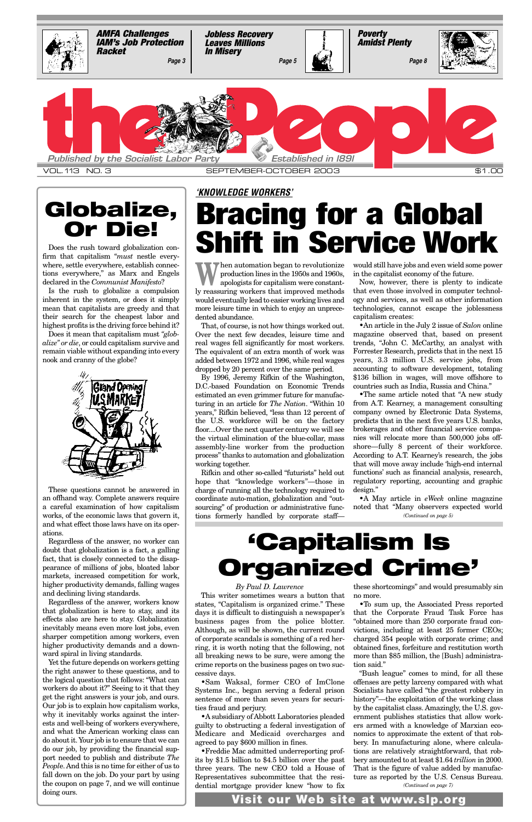**W** hen automation began to revolutionize<br>production lines in the 1950s and 1960s,<br>apologists for capitalism were constantproduction lines in the 1950s and 1960s, ly reassuring workers that improved methods would eventually lead to easier working lives and more leisure time in which to enjoy an unprecedented abundance.

That, of course, is not how things worked out. Over the next few decades, leisure time and real wages fell significantly for most workers. The equivalent of an extra month of work was added between 1972 and 1996, while real wages dropped by 20 percent over the same period.

By 1996, Jeremy Rifkin of the Washington, D.C.-based Foundation on Economic Trends estimated an even grimmer future for manufacturing in an article for *The Nation*. "Within 10 years," Rifkin believed, "less than 12 percent of the U.S. workforce will be on the factory floor....Over the next quarter century we will see the virtual elimination of the blue-collar, mass assembly-line worker from the production process" thanks to automation and globalization working together.

Rifkin and other so-called "futurists" held out hope that "knowledge workers"—those in charge of running all the technology required to coordinate auto-mation, globalization and "outsourcing" of production or administrative functions formerly handled by corporate staff—

# **Bracing for a Global Shift in Service Work**

would still have jobs and even wield some power in the capitalist economy of the future.

firm that capitalism "must nestle every-Does the rush toward globalization conwhere, settle everywhere, establish connections everywhere," as Marx and Engels declared in the *Communist Manifesto*?

Now, however, there is plenty to indicate that even those involved in computer technology and services, as well as other information technologies, cannot escape the joblessness capitalism creates:

•An article in the July 2 issue of *Salon* online magazine observed that, based on present trends, "John C. McCarthy, an analyst with Forrester Research, predicts that in the next 15 years, 3.3 million U.S. service jobs, from accounting to software development, totaling \$136 billion in wages, will move offshore to countries such as India, Russia and China."

•The same article noted that "A new study from A.T. Kearney, a management consulting company owned by Electronic Data Systems, predicts that in the next five years U.S. banks, brokerages and other financial service companies will relocate more than 500,000 jobs offshore—fully 8 percent of their workforce. According to A.T. Kearney's research, the jobs that will move away include 'high-end internal functions' such as financial analysis, research, regulatory reporting, accounting and graphic design."

### *'KNOWLEDGE WORKERS'*

Is the rush to globalize a compulsion inherent in the system, or does it simply mean that capitalists are greedy and that their search for the cheapest labor and highest profits is the driving force behind it?

Does it mean that capitalism must *"globalize" or die*, or could capitalism survive and remain viable without expanding into every nook and cranny of the globe?



These questions cannot be answered in an offhand way. Complete answers require a careful examination of how capitalism works, of the economic laws that govern it, and what effect those laws have on its operations.

Regardless of the answer, no worker can doubt that globalization is a fact, a galling fact, that is closely connected to the disappearance of millions of jobs, bloated labor markets, increased competition for work, higher productivity demands, falling wages and declining living standards.

Regardless of the answer, workers know that globalization is here to stay, and its effects also are here to stay. Globalization inevitably means even more lost jobs, even sharper competition among workers, even higher productivity demands and a downward spiral in living standards. Yet the future depends on workers getting the right answer to these questions, and to the logical question that follows: "What can workers do about it?" Seeing to it that they get the right answers is your job, and ours. Our job is to explain how capitalism works, why it inevitably works against the interests and well-being of workers everywhere, and what the American working class can do about it. Your job is to ensure that we can do our job, by providing the financial support needed to publish and distribute *The Peopl*e. And this is no time for either of us to fall down on the job. Do your part by using the coupon on page 7, and we will continue doing ours.

•A May article in *eWeek* online magazine noted that "Many observers expected world *(Continued on page 5)*

<span id="page-0-0"></span>

# **Globalize, Or Die!**

# **'Capitalism Is Organized Crime'**

*By Paul D. Lawrence*

This writer sometimes wears a button that no more. states, "Capitalism is organized crime." These days it is difficult to distinguish a newspaper's business pages from the police blotter. Although, as will be shown, the current round of corporate scandals is something of a red herring, it is worth noting that the following, not all breaking news to be sure, were among the crime reports on the business pages on two successive days.

•Sam Waksal, former CEO of ImClone Systems Inc., began serving a federal prison sentence of more than seven years for securities fraud and perjury.

•A subsidiary of Abbott Laboratories pleaded guilty to obstructing a federal investigation of Medicare and Medicaid overcharges and agreed to pay \$600 million in fines.

•Freddie Mac admitted underreporting profits by \$1.5 billion to \$4.5 billion over the past three years. The new CEO told a House of Representatives subcommittee that the residential mortgage provider knew "how to fix

these shortcomings" and would presumably sin

•To sum up, the Associated Press reported that the Corporate Fraud Task Force has "obtained more than 250 corporate fraud convictions, including at least 25 former CEOs; charged 354 people with corporate crime; and obtained fines, forfeiture and restitution worth more than \$85 million, the [Bush] administration said." "Bush league" comes to mind, for all these offenses are petty larceny compared with what Socialists have called "the greatest robbery in history"—the exploitation of the working class by the capitalist class. Amazingly, the U.S. government publishes statistics that allow workers armed with a knowledge of Marxian economics to approximate the extent of that robbery. In manufacturing alone, where calculations are relatively straightforward, that robbery amounted to at least \$1.64 *trillion* in 2000. That is the figure of value added by manufacture as reported by the U.S. Census Bureau. *(Continued on page 7)*

**Visit our Web site at www.slp.org**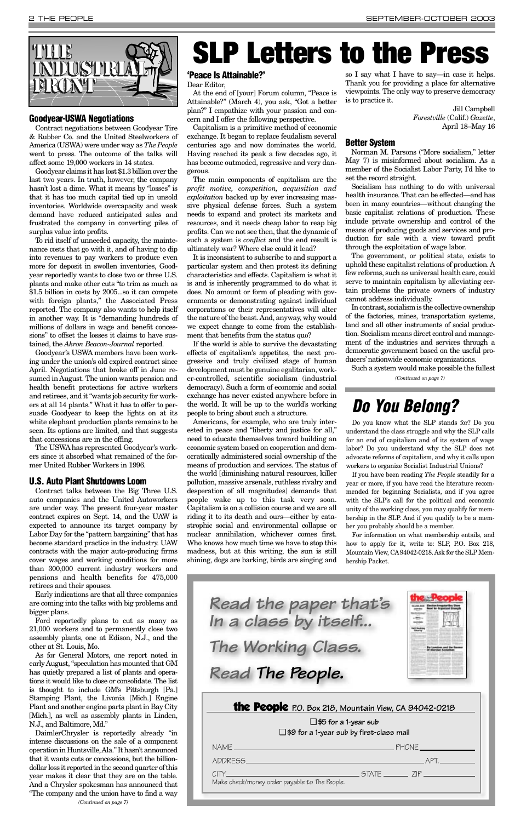### **'Peace Is Attainable?'**

Dear Editor,

At the end of [your] Forum column, "Peace is Attainable?" (March 4), you ask, "Got a better plan?" I empathize with your passion and concern and I offer the following perspective.

Capitalism is a primitive method of economic exchange. It began to replace feudalism several centuries ago and now dominates the world. Having reached its peak a few decades ago, it has become outmoded, regressive and very dangerous.

The main components of capitalism are the *profit motive, competition, acquisition and exploitation* backed up by ever increasing massive physical defense forces. Such a system needs to expand and protect its markets and resources, and it needs cheap labor to reap big profits. Can we not see then, that the dynamic of such a system is *conflict* and the end result is ultimately war? Where else could it lead?

It is inconsistent to subscribe to and support a particular system and then protest its defining characteristics and effects. Capitalism is what it is and is inherently programmed to do what it does. No amount or form of pleading with governments or demonstrating against individual corporations or their representatives will alter the nature of the beast. And, anyway, why would we expect change to come from the establishment that benefits from the status quo?

If the world is able to survive the devastating effects of capitalism's appetites, the next progressive and truly civilized stage of human development must be genuine egalitarian, worker-controlled, scientific socialism (industrial democracy). Such a form of economic and social exchange has never existed anywhere before in the world. It will be up to the world's working people to bring about such a structure.

Americans, for example, who are truly interested in peace and "liberty and justice for all," need to educate themselves toward building an economic system based on cooperation and democratically administered social ownership of the means of production and services. The status of the world [diminishing natural resources, killer pollution, massive arsenals, ruthless rivalry and desperation of all magnitudes] demands that people wake up to this task very soon. Capitalism is on a collision course and we are all riding it to its death and ours—either by catastrophic social and environmental collapse or nuclear annihilation, whichever comes first. Who knows how much time we have to stop this madness, but at this writing, the sun is still shining, dogs are barking, birds are singing and

so I say what I have to say—in case it helps. Thank you for providing a place for alternative viewpoints. The only way to preserve democracy is to practice it.

> Jill Campbell *Forestville* (Calif.) *Gazette*, April 18–May 16

### **Better System**

Norman M. Parsons ("More socialism," letter May 7) is misinformed about socialism. As a member of the Socialist Labor Party, I'd like to set the record straight.

Socialism has nothing to do with universal health insurance. That can be effected—and has been in many countries—without changing the basic capitalist relations of production. These include private ownership and control of the means of producing goods and services and production for sale with a view toward profit through the exploitation of wage labor.

The government, or political state, exists to uphold these capitalist relations of production. A few reforms, such as universal health care, could serve to maintain capitalism by alleviating certain problems the private owners of industry cannot address individually.

In contrast, socialism is the collective ownership of the factories, mines, transportation systems, land and all other instruments of social production. Socialism means direct control and management of the industries and services through a democratic government based on the useful producers' nationwide economic organizations.



### **Goodyear-USWA Negotiations**

Contract negotiations between Goodyear Tire & Rubber Co. and the United Steelworkers of America (USWA) were under way as *The People* went to press. The outcome of the talks will affect some 19,000 workers in 14 states.

Goodyear claims it has lost \$1.3 billion over the last two years. In truth, however, the company hasn't lost a dime. What it means by "losses" is that it has too much capital tied up in unsold inventories. Worldwide overcapacity and weak demand have reduced anticipated sales and frustrated the company in converting piles of surplus value into profits.

To rid itself of unneeded capacity, the maintenance costs that go with it, and of having to dip into revenues to pay workers to produce even more for deposit in swollen inventories, Goodyear reportedly wants to close two or three U.S. plants and make other cuts "to trim as much as \$1.5 billion in costs by 2005...so it can compete with foreign plants," the Associated Press reported. The company also wants to help itself in another way. It is "demanding hundreds of millions of dollars in wage and benefit concessions" to offset the losses it claims to have sustained, the *Akron Beacon-Journal* reported.

Goodyear's USWA members have been working under the union's old expired contract since April. Negotiations that broke off in June resumed in August. The union wants pension and health benefit protections for active workers and retirees, and it "wants job security for workers at all 14 plants." What it has to offer to persuade Goodyear to keep the lights on at its white elephant production plants remains to be seen. Its options are limited, and that suggests that concessions are in the offing.

The USWA has represented Goodyear's workers since it absorbed what remained of the former United Rubber Workers in 1996.

### **U.S. Auto Plant Shutdowns Loom**

Contract talks between the Big Three U.S. auto companies and the United Autoworkers are under way. The present four-year master contract expires on Sept. 14, and the UAW is expected to announce its target company by Labor Day for the "pattern bargaining" that has become standard practice in the industry. UAW contracts with the major auto-producing firms cover wages and working conditions for more than 300,000 current industry workers and pensions and health benefits for 475,000 retirees and their spouses.

Such a system would make possible the fullest *(Continued on page 7)*

Early indications are that all three companies are coming into the talks with big problems and bigger plans.

Ford reportedly plans to cut as many as 21,000 workers and to permanently close two assembly plants, one at Edison, N.J., and the other at St. Louis, Mo.

As for General Motors, one report noted in early August, "speculation has mounted that GM has quietly prepared a list of plants and operations it would like to close or consolidate. The list is thought to include GM's Pittsburgh [Pa.] Stamping Plant, the Livonia [Mich.] Engine Plant and another engine parts plant in Bay City [Mich.], as well as assembly plants in Linden, N.J., and Baltimore, Md."

DaimlerChrysler is reportedly already "in intense discussions on the sale of a component operation in Huntsville, Ala." It hasn't announced that it wants cuts or concessions, but the billiondollar loss it reported in the second quarter of this year makes it clear that they are on the table. And a Chrysler spokesman has announced that "The company and the union have to find a way

# **SLP Letters to the Press**

### *Do You Belong?*

Do you know what the SLP stands for? Do you understand the class struggle and why the SLP calls for an end of capitalism and of its system of wage labor? Do you understand why the SLP does not advocate reforms of capitalism, and why it calls upon workers to organize Socialist Industrial Unions?

If you have been reading *The People* steadily for a year or more, if you have read the literature recommended for beginning Socialists, and if you agree with the SLP's call for the political and economic unity of the working class, you may qualify for membership in the SLP. And if you qualify to be a member you probably should be a member.

For information on what membership entails, and how to apply for it, write to: SLP, P.O. Box 218, Mountain View, CA94042-0218. Ask for the SLP Membership Packet.

|  |  | the People P.O. Box 218, Mountain View, CA 94042-0218 |
|--|--|-------------------------------------------------------|
|  |  |                                                       |

❑ **\$5 for a 1-year sub** ❑ **\$9 for a 1-year sub by first-class mail**

| NAME <b>And the Community of the Community</b>                                                                                                                                                                                                                                                       | PHONE And the contract of the contract of the contract of the contract of the contract of the contract of the |
|------------------------------------------------------------------------------------------------------------------------------------------------------------------------------------------------------------------------------------------------------------------------------------------------------|---------------------------------------------------------------------------------------------------------------|
| ADDRESS ADDRESS                                                                                                                                                                                                                                                                                      | APT.                                                                                                          |
| $STATF$ $ZIP$<br>$C\text{ITY}$ . The contract of the contract of the contract of the contract of the contract of the contract of the contract of the contract of the contract of the contract of the contract of the contract of the contract of th<br>Make check/money order payable to The People. |                                                                                                               |



*In a class by itself... The Working Class. Read The People.*



*(Continued on page 7)*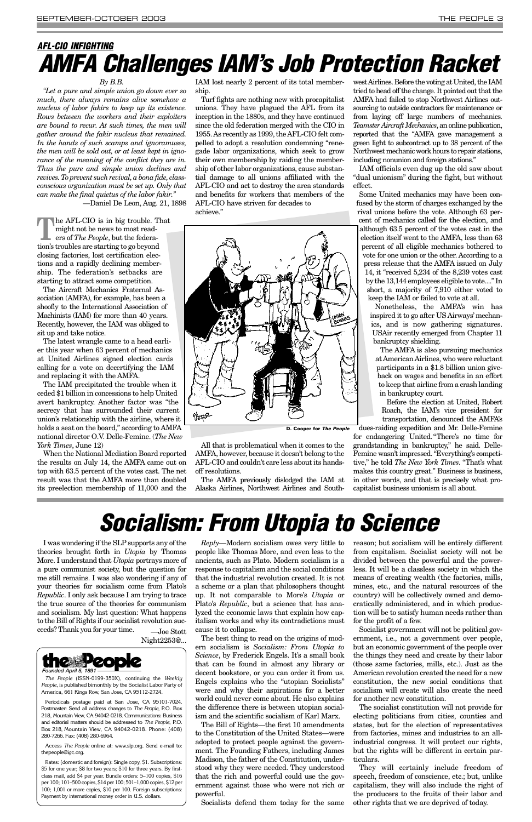### *By B.B.*

*"Let a pure and simple union go down ever so much, there always remains alive somehow a nucleus of labor fakirs to keep up its existence. Rows between the workers and their exploiters are bound to recur. At such times, the men will gather around the fakir nucleus that remained. In the hands of such scamps and ignoramuses, the men will be sold out, or at least kept in ignorance of the meaning of the conflict they are in. Thus the pure and simple union declines and revives. To prevent such revival, a bona fide, classconscious organization must be set up. Only that can make the final quietus of the labor fakir."* 

—Daniel De Leon, Aug. 21, 1898

**T**he AFL-CIO is in big trouble. That might not be news to most readers of *The People*, but the federation's troubles are starting to go beyond closing factories, lost certification elections and a rapidly declining membership. The federation's setbacks are starting to attract some competition.

The Aircraft Mechanics Fraternal Association (AMFA), for example, has been a shoofly to the International Association of Machinists (IAM) for more than 40 years. Recently, however, the IAM was obliged to sit up and take notice.

The latest wrangle came to a head earlier this year when 63 percent of mechanics at United Airlines signed election cards calling for a vote on decertifying the IAM and replacing it with the AMFA.

The IAM precipitated the trouble when it ceded \$1 billion in concessions to help United avert bankruptcy. Another factor was "the secrecy that has surrounded their current union's relationship with the airline, where it holds a seat on the board," according to AMFA national director O.V. Delle-Femine. (*The New York Times*, June 12)

When the National Mediation Board reported the results on July 14, the AMFA came out on top with 63.5 percent of the votes cast. The net result was that the AMFA more than doubled its preelection membership of 11,000 and the

IAM lost nearly 2 percent of its total membership.

Turf fights are nothing new with procapitalist unions. They have plagued the AFL from its inception in the 1880s, and they have continued since the old federation merged with the CIO in 1955. As recently as 1999, the AFL-CIO felt compelled to adopt a resolution condemning "renegade labor organizations, which seek to grow their own membership by raiding the membership of other labor organizations, cause substantial damage to all unions affiliated with the AFL-CIO and act to destroy the area standards and benefits for workers that members of the AFL-CIO have striven for decades to achieve."





All that is problematical when it comes to the AMFA, however, because it doesn't belong to the AFL-CIO and couldn't care less about its handsoff resolutions.

The AMFA previously dislodged the IAM at Alaska Airlines, Northwest Airlines and Southwest Airlines. Before the voting at United, the IAM tried to head off the change. It pointed out that the AMFA had failed to stop Northwest Airlines outsourcing to outside contractors for maintenance or from laying off large numbers of mechanics. *Teamster Aircraft Mechanics*, an online publication, reported that the "AMFA gave management a green light to subcontract up to 38 percent of the Northwest mechanic work hours to repair stations, including nonunion and foreign stations."

IAM officials even dug up the old saw about "dual unionism" during the fight, but without effect.

Some United mechanics may have been confused by the storm of charges exchanged by the rival unions before the vote. Although 63 percent of mechanics called for the election, and although 63.5 percent of the votes cast in the election itself went to the AMFA, less than 63 percent of all eligible mechanics bothered to vote for one union or the other. According to a press release that the AMFA issued on July 14, it "received 5,234 of the 8,239 votes cast by the 13,144 employees eligible to vote...." In short, a majority of 7,910 either voted to keep the IAM or failed to vote at all.

Nonetheless, the AMFA's win has inspired it to go after US Airways' mechanics, and is now gathering signatures. USAir recently emerged from Chapter 11 bankruptcy shielding.

The AMFA is also pursuing mechanics at American Airlines, who were reluctant participants in a \$1.8 billion union giveback on wages and benefits in an effort to keep that airline from a crash landing in bankruptcy court.

Before the election at United, Robert Roach, the IAM's vice president for transportation, denounced the AMFA's

dues-raiding expedition and Mr. Delle-Femine

for endangering United."There's no time for grandstanding in bankruptcy," he said. Delle-Femine wasn't impressed. "Everything's competitive," he told *The New York Times*. "That's what makes this country great." Business is business, in other words, and that is precisely what procapitalist business unionism is all about.

### <span id="page-2-0"></span>*AFL-CIO INFIGHTING AMFA Challenges IAM's Job Protection Racket*

I was wondering if the SLP supports any of the theories brought forth in *Utopia* by Thomas More. I understand that *Utopia* portrays more of a pure communist society, but the question for me still remains. I was also wondering if any of your theories for socialism come from Plato's *Republic*. I only ask because I am trying to trace the true source of the theories for communism and socialism. My last question: What happens to the Bill of Rights if our socialist revolution succeeds? Thank you for your time. —Joe Stott

Night2253@...

*Reply*—Modern socialism owes very little to people like Thomas More, and even less to the ancients, such as Plato. Modern socialism is a response to capitalism and the social conditions that the industrial revolution created. It is not a scheme or a plan that philosophers thought up. It not comparable to More's *Utopia* or

Plato's *Republic*, but a science that has analyzed the economic laws that explain how capitalism works and why its contradictions must cause it to collapse.

The best thing to read on the origins of modern socialism is *Socialism: From Utopia to Science*, by Frederick Engels. It's a small book that can be found in almost any library or decent bookstore, or you can order it from us. Engels explains who the "utopian Socialists" were and why their aspirations for a better world could never come about. He also explains the difference there is between utopian socialism and the scientific socialism of Karl Marx.

The Bill of Rights—the first 10 amendments to the Constitution of the United States—were adopted to protect people against the government. The Founding Fathers, including James Madison, the father of the Constitution, understood why they were needed. They understood that the rich and powerful could use the government against those who were not rich or powerful.

Socialists defend them today for the same

reason; but socialism will be entirely different from capitalism. Socialist society will not be divided between the powerful and the powerless. It will be a classless society in which the means of creating wealth (the factories, mills, mines, etc., and the natural resources of the country) will be collectively owned and demo-

cratically administered, and in which production will be to satisfy human needs rather than for the profit of a few.

Socialist government will not be political government, i.e., not a government over people, but an economic government of the people over the things they need and create by their labor (those same factories, mills, etc.). Just as the American revolution created the need for a new constitution, the new social conditions that socialism will create will also create the need for another new constitution.

The socialist constitution will not provide for electing politicians from cities, counties and states, but for the election of representatives from factories, mines and industries to an allindustrial congress. It will protect our rights, but the rights will be different in certain particulars.

They will certainly include freedom of speech, freedom of conscience, etc.; but, unlike capitalism, they will also include the right of the producers to the fruits of their labor and other rights that we are deprived of today.



*The People* (ISSN-0199-350X), continuing the *Weekly People*, is published bimonthly by the Socialist Labor Party of America, 661 Kings Row, San Jose, CA 95112-2724.

Periodicals postage paid at San Jose, CA 95101-7024. Postmaster: Send all address changes to *The People*, P.O. Box 218, Mountain View, CA 94042-0218. Communications: Business and editorial matters should be addressed to *The People*, P.O. Box 218, Mountain View, CA 94042-0218. Phone: (408) 280-7266. Fax: (408) 280-6964.

Access *The People* online at: www.slp.org. Send e-mail to: thepeople@igc.org.

Rates: (domestic and foreign): Single copy, \$1. Subscriptions: \$5 for one year; \$8 for two years; \$10 for three years. By firstclass mail, add \$4 per year. Bundle orders: 5–100 copies, \$16 per 100; 101–500 copies, \$14 per 100; 501–1,000 copies, \$12 per 100; 1,001 or more copies, \$10 per 100. Foreign subscriptions: Payment by international money order in U.S. dollars.

**D. Cooper for** *The People*

# *Socialism: From Utopia to Science*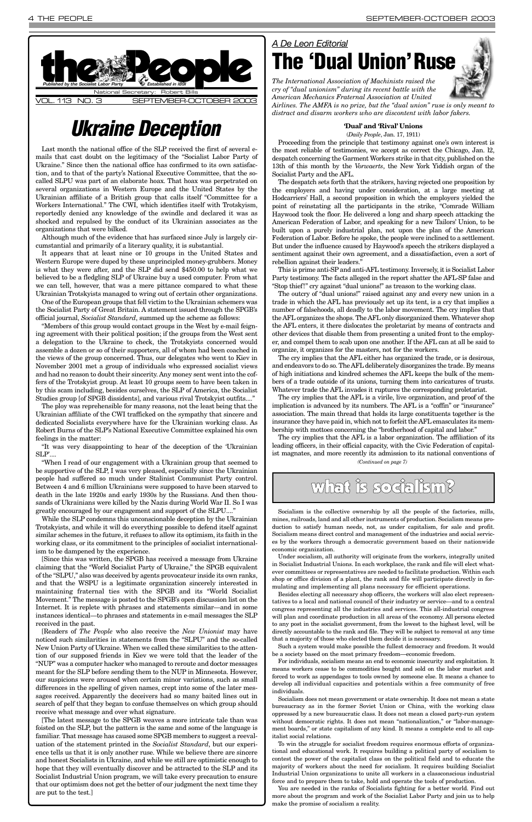Last month the national office of the SLP received the first of several emails that cast doubt on the legitimacy of the "Socialist Labor Party of Ukraine." Since then the national office has confirmed to its own satisfaction, and to that of the party's National Executive Committee, that the socalled SLPU was part of an elaborate hoax. That hoax was perpetrated on several organizations in Western Europe and the United States by the Ukrainian affiliate of a British group that calls itself "Committee for a Workers International." The CWI, which identifies itself with Trotskyism, reportedly denied any knowledge of the swindle and declared it was as shocked and repulsed by the conduct of its Ukrainian associates as the organizations that were bilked.

Although much of the evidence that has surfaced since July is largely circumstantial and primarily of a literary quality, it is substantial.

It appears that at least nine or 10 groups in the United States and Western Europe were duped by these unprincipled money-grubbers. Money is what they were after, and the SLP did send \$450.00 to help what we believed to be a fledgling SLP of Ukraine buy a used computer. From what we can tell, however, that was a mere pittance compared to what these Ukrainian Trotskyists managed to wring out of certain other organizations.

One of the European groups that fell victim to the Ukrainian schemers was the Socialist Party of Great Britain. A statement issued through the SPGB's official journal, *Socialist Standard*, summed up the scheme as follows:

"Members of this group would contact groups in the West by e-mail feigning agreement with their political position; if the groups from the West sent a delegation to the Ukraine to check, the Trotskyists concerned would assemble a dozen or so of their supporters, all of whom had been coached in the views of the group concerned. Thus, our delegates who went to Kiev in November 2001 met a group of individuals who expressed socialist views and had no reason to doubt their sincerity. Any money sent went into the coffers of the Trotskyist group. At least 10 groups seem to have been taken in by this scam including, besides ourselves, the SLP of America, the Socialist Studies group [of SPGB dissidents], and various rival Trotskyist outfits...."

The ploy was reprehensible for many reasons, not the least being that the Ukrainian affiliate of the CWI trafficked on the sympathy that sincere and dedicated Socialists everywhere have for the Ukrainian working class. As Robert Burns of the SLP's National Executive Committee explained his own feelings in the matter:

"It was very disappointing to hear of the deception of the 'Ukrainian SLP'....

"When I read of our engagement with a Ukrainian group that seemed to be supportive of the SLP, I was very pleased, especially since the Ukrainian people had suffered so much under Stalinist Communist Party control. Between 4 and 6 million Ukrainians were supposed to have been starved to death in the late 1920s and early 1930s by the Russians. And then thousands of Ukrainians were killed by the Nazis during World War II. So I was greatly encouraged by our engagement and support of the SLPU...."

While the SLP condemns this unconscionable deception by the Ukrainian Trotskyists, and while it will do everything possible to defend itself against similar schemes in the future, it refuses to allow its optimism, its faith in the working class, or its commitment to the principles of socialist internationalism to be dampened by the experience.

[Since this was written, the SPGB has received a message from Ukraine claiming that the "World Socialist Party of Ukraine," the SPGB equivalent of the "SLPU," also was deceived by agents provocateur inside its own ranks, and that the WSPU is a legitimate organization sincerely interested in maintaining fraternal ties with the SPGB and its "World Socialist Movement." The message is posted to the SPGB's open discussion list on the

Internet. It is replete with phrases and statements similar—and in some instances identical—to phrases and statements in e-mail messages the SLP received in the past.



[Readers of *The People* who also receive the *New Unionist* may have noticed such similarities in statements from the "SLPU" and the so-called New Union Party of Ukraine. When we called these similarities to the attention of our supposed friends in Kiev we were told that the leader of the "NUP" was a computer hacker who managed to reroute and doctor messages meant for the SLP before sending them to the NUP in Minnesota. However, our suspicions were aroused when certain minor variations, such as small differences in the spelling of given names, crept into some of the later messages received. Apparently the deceivers had so many baited lines out in search of pelf that they began to confuse themselves on which group should receive what message and over what signature.

[The latest message to the SPGB weaves a more intricate tale than was foisted on the SLP, but the pattern is the same and some of the language is familiar. That message has caused some SPGB members to suggest a reevaluation of the statement printed in the *Socialist Standard*, but our experience tells us that it is only another ruse. While we believe there are sincere and honest Socialists in Ukraine, and while we still are optimistic enough to hope that they will eventually discover and be attracted to the SLP and its Socialist Industrial Union program, we will take every precaution to ensure that our optimism does not get the better of our judgment the next time they are put to the test.]

### **'Dual' and 'Rival' Unions** (*Daily People*, Jan. 17, 1911)

Proceeding from the principle that testimony against one's own interest is the most reliable of testimonies, we accept as correct the Chicago, Jan. l2, despatch concerning the Garment Workers strike in that city, published on the 13th of this month by the *Vorwaerts*, the New York Yiddish organ of the Socialist Party and the AFL.

The despatch sets forth that the strikers, having rejected one proposition by the employers and having under consideration, at a large meeting at Hodcarriers' Hall, a second proposition in which the employers yielded the point of reinstating all the participants in the strike, "Comrade William Haywood took the floor. He delivered a long and sharp speech attacking the American Federation of Labor, and speaking for a new Tailors' Union, to be built upon a purely industrial plan, not upon the plan of the American Federation of Labor. Before he spoke, the people were inclined to a settlement. But under the influence caused by Haywood's speech the strikers displayed a sentiment against their own agreement, and a dissatisfaction, even a sort of rebellion against their leaders."

This is prime anti-SP and anti-AFL testimony. Inversely, it is Socialist Labor Party testimony. The facts alleged in the report shatter the AFL-SP false and "Stop thief!" cry against "dual unions!" as treason to the working class.

The outcry of "dual unions!" raised against any and every new union in a trade in which the AFL has previously set up its tent, is a cry that implies a number of falsehoods, all deadly to the labor movement. The cry implies that the AFL organizes the shops. The AFL only disorganized them. Whatever shop the AFL enters, it there dislocates the proletariat by means of contracts and other devices that disable them from presenting a united front to the employer, and compel them to scab upon one another. If the AFL can at all be said to organize, it organizes for the masters, not for the workers.

The cry implies that the AFL either has organized the trade, or is desirous, and endeavors to do so. The AFL deliberately disorganizes the trade. By means of high initiations and kindred schemes the AFL keeps the bulk of the members of a trade outside of its unions, turning them into caricatures of trusts. Whatever trade the AFL invades it ruptures the corresponding proletariat.

The cry implies that the AFL is a virile, live organization, and proof of the implication is advanced by its numbers. The AFL is a "coffin" or "insurance" association. The main thread that holds its large constituents together is the insurance they have paid in, which not to forfeit the AFL emasculates its membership with mottoes concerning the "brotherhood of capital and labor."

# *Ukraine Deception*

### *A De Leon Editorial* **The 'Dual Union'Ruse**



*The International Association of Machinists raised the cry of "dual unionism" during its recent battle with the American Mechanics Fraternal Association at United* 

*Airlines. The AMFA is no prize, but the "dual union" ruse is only meant to distract and disarm workers who are discontent with labor fakers.*

Socialism is the collective ownership by all the people of the factories, mills, mines, railroads, land and all other instruments of production. Socialism means production to satisfy human needs, not, as under capitalism, for sale and profit. Socialism means direct control and management of the industries and social services by the workers through a democratic government based on their nationwide economic organization.

Under socialism, all authority will originate from the workers, integrally united in Socialist Industrial Unions. In each workplace, the rank and file will elect whatever committees or representatives are needed to facilitate production. Within each shop or office division of a plant, the rank and file will participate directly in formulating and implementing all plans necessary for efficient operations.

Besides electing all necessary shop officers, the workers will also elect representatives to a local and national council of their industry or service—and to a central

The cry implies that the AFL is a labor organization. The affiliation of its leading officers, in their official capacity, with the Civic Federation of capitalist magnates, and more recently its admission to its national conventions of *(Continued on page 7)*

### what is socialism?

congress representing all the industries and services. This all-industrial congress will plan and coordinate production in all areas of the economy. All persons elected to any post in the socialist government, from the lowest to the highest level, will be directly accountable to the rank and file. They will be subject to removal at any time that a majority of those who elected them decide it is necessary.

Such a system would make possible the fullest democracy and freedom. It would be a society based on the most primary freedom—economic freedom.

For individuals, socialism means an end to economic insecurity and exploitation. It means workers cease to be commodities bought and sold on the labor market and forced to work as appendages to tools owned by someone else. It means a chance to develop all individual capacities and potentials within a free community of free individuals.

Socialism does not mean government or state ownership. It does not mean a state bureaucracy as in the former Soviet Union or China, with the working class oppressed by a new bureaucratic class. It does not mean a closed party-run system without democratic rights. It does not mean "nationalization," or "labor-management boards," or state capitalism of any kind. It means a complete end to all capitalist social relations.

To win the struggle for socialist freedom requires enormous efforts of organizational and educational work. It requires building a political party of socialism to contest the power of the capitalist class on the political field and to educate the majority of workers about the need for socialism. It requires building Socialist Industrial Union organizations to unite all workers in a classconscious industrial force and to prepare them to take, hold and operate the tools of production.

You are needed in the ranks of Socialists fighting for a better world. Find out more about the program and work of the Socialist Labor Party and join us to help make the promise of socialism a reality.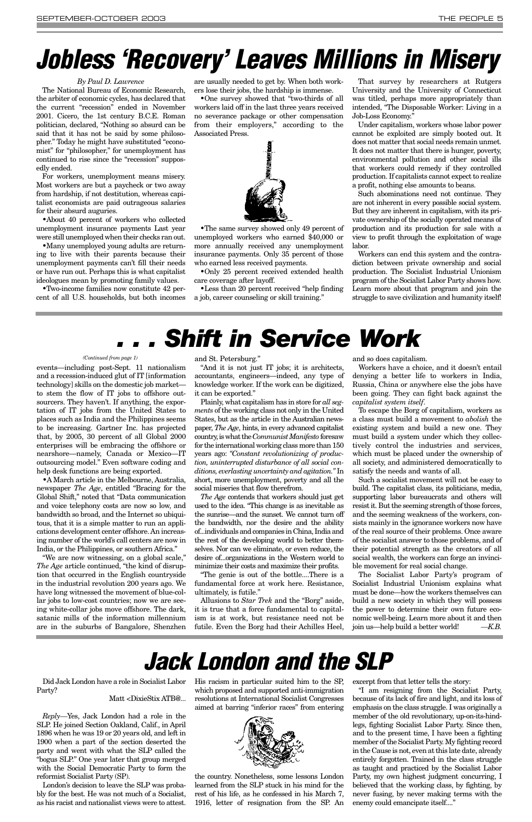events—including post-Sept. 11 nationalism and a recession-induced glut of IT [information technology] skills on the domestic job market to stem the flow of IT jobs to offshore outsourcers. They haven't. If anything, the exportation of IT jobs from the United States to places such as India and the Philippines seems to be increasing. Gartner Inc. has projected that, by 2005, 30 percent of all Global 2000 enterprises will be embracing the offshore or nearshore—namely, Canada or Mexico—IT outsourcing model." Even software coding and help desk functions are being exported.

•A March article in the Melbourne, Australia, newspaper *The Age*, entitled "Bracing for the Global Shift," noted that "Data communication and voice telephony costs are now so low, and bandwidth so broad, and the Internet so ubiquitous, that it is a simple matter to run an applications development center offshore. An increasing number of the world's call centers are now in India, or the Philippines, or southern Africa."

"We are now witnessing, on a global scale," *The Age* article continued, "the kind of disruption that occurred in the English countryside in the industrial revolution 200 years ago. We have long witnessed the movement of blue-collar jobs to low-cost countries; now we are see-

ing white-collar jobs move offshore. The dark, satanic mills of the information millennium are in the suburbs of Bangalore, Shenzhen and St. Petersburg."

"And it is not just IT jobs; it is architects, accountants, engineers—indeed, any type of knowledge worker. If the work can be digitized, it can be exported."

Plainly, what capitalism has in store for *all segments* of the working class not only in the United States, but as the article in the Australian newspaper, *The Age*, hints, in every advanced capitalist country, is what the *Communist Manifesto* foresaw for the international working class more than 150 years ago: *"Constant revolutionizing of production, uninterrupted disturbance of all social conditions, everlasting uncertainty and agitation."* In short, more unemployment, poverty and all the social miseries that flow therefrom.

*The Age* contends that workers should just get used to the idea. "This change is as inevitable as the sunrise—and the sunset. We cannot turn off the bandwidth, nor the desire and the ability of...individuals and companies in China, India and the rest of the developing world to better themselves. Nor can we eliminate, or even reduce, the desire of...organizations in the Western world to minimize their costs and maximize their profits.

"The genie is out of the bottle....There is a fundamental force at work here. Resistance, ultimately, is futile."

Allusions to *Star Trek* and the "Borg" aside,

it is true that a force fundamental to capitalism is at work, but resistance need not be futile. Even the Borg had their Achilles Heel,

and so does capitalism.

Workers have a choice, and it doesn't entail denying a better life to workers in India, Russia, China or anywhere else the jobs have been going. They can fight back against the *capitalist system itself*.

To escape the Borg of capitalism, workers as a class must build a movement to *abolish* the existing system and build a new one. They must build a system under which they collectively control the industries and services, which must be placed under the ownership of all society, and administered democratically to satisfy the needs and wants of all.

Such a socialist movement will not be easy to build. The capitalist class, its politicians, media, supporting labor bureaucrats and others will resist it. But the seeming strength of those forces, and the seeming weakness of the workers, consists mainly in the ignorance workers now have of the real source of their problems. Once aware of the socialist answer to those problems, and of their potential strength as the creators of all social wealth, the workers can forge an invincible movement for real social change.

•The same survey showed only 49 percent of unemployed workers who earned \$40,000 or more annually received any unemployment insurance payments. Only 35 percent of those who earned less received payments.

> The Socialist Labor Party's program of Socialist Industrial Unionism explains what must be done—how the workers themselves can build a new society in which they will possess the power to determine their own future economic well-being. Learn more about it and then join us—help build a better world! *—K.B.*

Did Jack London have a role in Socialist Labor Party?

### Matt <DixieStix ATB@...

*Reply—*Yes, Jack London had a role in the SLP. He joined Section Oakland, Calif., in April 1896 when he was 19 or 20 years old, and left in 1900 when a part of the section deserted the party and went with what the SLP called the "bogus SLP." One year later that group merged with the Social Democratic Party to form the reformist Socialist Party (SP).

London's decision to leave the SLP was probably for the best. He was not much of a Socialist, as his racist and nationalist views were to attest. His racism in particular suited him to the SP, which proposed and supported anti-immigration resolutions at International Socialist Congresses aimed at barring "inferior races" from entering



the country. Nonetheless, some lessons London learned from the SLP stuck in his mind for the rest of his life, as he confessed in his March 7, 1916, letter of resignation from the SP. An excerpt from that letter tells the story:

"I am resigning from the Socialist Party, because of its lack of fire and light, and its loss of emphasis on the class struggle. I was originally a member of the old revolutionary, up-on-its-hindlegs, fighting Socialist Labor Party. Since then, and to the present time, I have been a fighting member of the Socialist Party. My fighting record in the Cause is not, even at this late date, already entirely forgotten. Trained in the class struggle as taught and practiced by the Socialist Labor Party, my own highest judgment concurring, I believed that the working class, by fighting, by never fusing, by never making terms with the enemy could emancipate itself...."

# *Jack London and the SLP*

#### *(Continued from page 1)*

#### *By Paul D. Lawrence*

The National Bureau of Economic Research, the arbiter of economic cycles, has declared that the current "recession" ended in November 2001. Cicero, the 1st century B.C.E. Roman politician, declared, "Nothing so absurd can be said that it has not be said by some philosopher." Today he might have substituted "economist" for "philosopher," for unemployment has continued to rise since the "recession" supposedly ended.

For workers, unemployment means misery. Most workers are but a paycheck or two away from hardship, if not destitution, whereas capitalist economists are paid outrageous salaries for their absurd auguries.

•About 40 percent of workers who collected unemployment insurance payments Last year were still unemployed when their checks ran out.

•Many unemployed young adults are returning to live with their parents because their unemployment payments can't fill their needs or have run out. Perhaps this is what capitalist ideologues mean by promoting family values.

•Two-income families now constitute 42 percent of all U.S. households, but both incomes

are usually needed to get by. When both workers lose their jobs, the hardship is immense.

•One survey showed that "two-thirds of all workers laid off in the last three years received no severance package or other compensation from their employers," according to the Associated Press.



•Only 25 percent received extended health care coverage after layoff.

•Less than 20 percent received "help finding a job, career counseling or skill training."

**Shift in Service Work** 

That survey by researchers at Rutgers University and the University of Connecticut was titled, perhaps more appropriately than intended, "The Disposable Worker: Living in a Job-Loss Economy."

Under capitalism, workers whose labor power cannot be exploited are simply booted out. It does not matter that social needs remain unmet. It does not matter that there is hunger, poverty, environmental pollution and other social ills that workers could remedy if they controlled production. If capitalists cannot expect to realize a profit, nothing else amounts to beans.

Such abominations need not continue. They are not inherent in every possible social system. But they are inherent in capitalism, with its private ownership of the socially operated means of production and its production for sale with a view to profit through the exploitation of wage labor.

Workers can end this system and the contradiction between private ownership and social production. The Socialist Industrial Unionism program of the Socialist Labor Party shows how. Learn more about that program and join the struggle to save civilization and humanity itself!

# <span id="page-4-0"></span>*Jobless 'Recovery' Leaves Millions in Misery*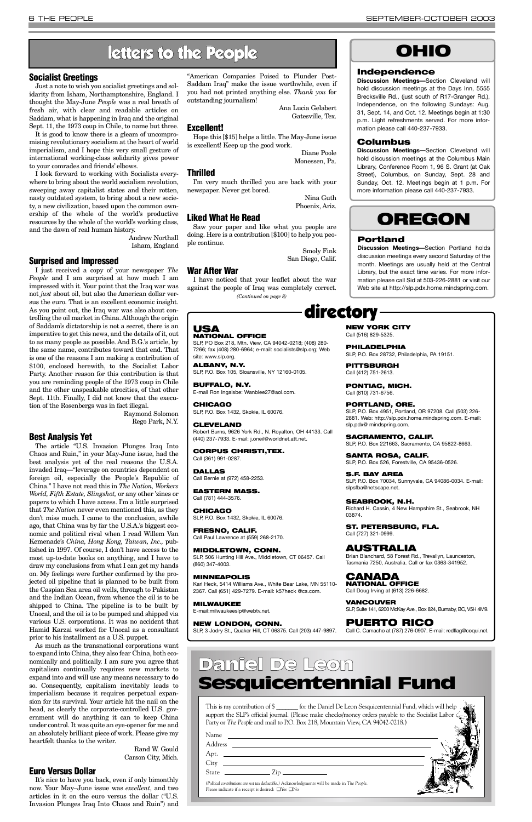### **Socialist Greetings**

Just a note to wish you socialist greetings and solidarity from Isham, Northamptonshire, England. I thought the May-June *People* was a real breath of fresh air, with clear and readable articles on Saddam, what is happening in Iraq and the original Sept. 11, the 1973 coup in Chile, to name but three.

It is good to know there is a gleam of uncompromising revolutionary socialism at the heart of world imperialism, and I hope this very small gesture of international working-class solidarity gives power to your comrades and friends' elbows.

I look forward to working with Socialists everywhere to bring about the world socialism revolution, sweeping away capitalist states and their rotten, nasty outdated system, to bring about a new society, a new civilization, based upon the common ownership of the whole of the world's productive resources by the whole of the world's working class, and the dawn of real human history.

> Andrew Northall Isham, England

### **Surprised and Impressed**

I just received a copy of your newspaper *The People* and I am surprised at how much I am impressed with it. Your point that the Iraq war was not *just* about oil, but also the American dollar versus the euro. That is an excellent economic insight. As you point out, the Iraq war was also about controlling the oil market in China. Although the origin of Saddam's dictatorship is not a secret, there is an imperative to get this news, and the details of it, out to as many people as possible. And B.G.'s article, by the same name, contributes toward that end. That is one of the reasons I am making a contribution of \$100, enclosed herewith, to the Socialist Labor Party. Another reason for this contribution is that you are reminding people of the 1973 coup in Chile and the other unspeakable atrocities, of that other Sept. 11th. Finally, I did not know that the execution of the Rosenbergs was in fact illegal.

> Raymond Solomon Rego Park, N.Y.

### **Best Analysis Yet**

The article "U.S. Invasion Plunges Iraq Into Chaos and Ruin," in your May-June issue, had the best analysis yet of the real reasons the U.S.A. invaded Iraq—"leverage on countries dependent on foreign oil, especially the People's Republic of China." I have not read this in *The Nation, Workers World, Fifth Estate, Slingshot,* or any other 'zines or papers to which I have access. I'm a little surprised that *The Nation* never even mentioned this, as they don't miss much. I came to the conclusion, awhile ago, that China was by far the U.S.A.'s biggest economic and political rival when I read Willem Van Kemenade's *China, Hong Kong, Taiwan, Inc.,* published in 1997. Of course, I don't have access to the most up-to-date books on anything, and I have to draw my conclusions from what I can get my hands on. My feelings were further confirmed by the projected oil pipeline that is planned to be built from the Caspian Sea area oil wells, through to Pakistan and the Indian Ocean, from whence the oil is to be shipped to China. The pipeline is to be built by Unocal, and the oil is to be pumped and shipped via various U.S. corporations. It was no accident that Hamid Karzai worked for Unocal as a consultant prior to his installment as a U.S. puppet. As much as the transnational corporations want to expand into China, they also fear China, both economically and politically. I am sure you agree that capitalism continually requires new markets to expand into and will use any means necessary to do so. Consequently, capitalism inevitably leads to imperialism because it requires perpetual expansion for its survival. Your article hit the nail on the head, as clearly the corporate-controlled U.S. government will do anything it can to keep China under control. It was quite an eye-opener for me and an absolutely brilliant piece of work. Please give my heartfelt thanks to the writer.

> Rand W. Gould Carson City, Mich.

### **Euro Versus Dollar**

It's nice to have you back, even if only bimonthly now. Your May–June issue was *excellent*, and two articles in it on the euro versus the dollar ("U.S. Invasion Plunges Iraq Into Chaos and Ruin") and

"American Companies Poised to Plunder Post-Saddam Iraq" make the issue worthwhile, even if you had not printed anything else. *Thank you* for outstanding journalism!

> Ana Lucia Gelabert Gatesville, Tex.

### **Excellent!**

Hope this [\$15] helps a little. The May-June issue is excellent! Keep up the good work.

> Diane Poole Monessen, Pa.

### **Thrilled**

I'm very much thrilled you are back with your newspaper. Never get bored.

> Nina Guth Phoenix, Ariz.

### **Liked What He Read**

Saw your paper and like what you people are doing. Here is a contribution [\$100] to help you people continue.

> Smoly Fink San Diego, Calif.

### **War After War**

This is my contribution of \$ \_\_\_\_\_\_\_ for the Daniel De Leon Sesquicentennial Fund, which will help support the SLP's official journal. (Please make checks/money orders payable to the Socialist Labor Party or *The People* and mail to P.O. Box 218, Mountain View, CA 94042-0218.)

| Name                                                                                                                                                                                                                                                                                                                                                               |  |
|--------------------------------------------------------------------------------------------------------------------------------------------------------------------------------------------------------------------------------------------------------------------------------------------------------------------------------------------------------------------|--|
|                                                                                                                                                                                                                                                                                                                                                                    |  |
|                                                                                                                                                                                                                                                                                                                                                                    |  |
|                                                                                                                                                                                                                                                                                                                                                                    |  |
| State $\frac{1}{\sqrt{2}}$ $\frac{1}{\sqrt{2}}$ $\frac{1}{\sqrt{2}}$ $\frac{1}{\sqrt{2}}$ $\frac{1}{\sqrt{2}}$ $\frac{1}{\sqrt{2}}$ $\frac{1}{\sqrt{2}}$ $\frac{1}{\sqrt{2}}$ $\frac{1}{\sqrt{2}}$ $\frac{1}{\sqrt{2}}$ $\frac{1}{\sqrt{2}}$ $\frac{1}{\sqrt{2}}$ $\frac{1}{\sqrt{2}}$ $\frac{1}{\sqrt{2}}$ $\frac{1}{\sqrt{2}}$ $\frac{1}{\sqrt{2}}$ $\frac{1}{\$ |  |
| (Political contributions are not tax deductible.) Acknowledgments will be made in The People.<br>Please indicate if a receipt is desired: $\Box$ Yes $\Box$ No                                                                                                                                                                                                     |  |

### Daniel De Leon Sesquicentennial Fund

### letters to the People

### directory

### **USA NATIONAL OFFICE**

SLP, PO Box 218, Mtn. View, CA 94042-0218; (408) 280- 7266; fax (408) 280-6964; e-mail: socialists@slp.org; Web site: www.slp.org.

**ALBANY, N.Y.** SLP, P.O. Box 105, Sloansville, NY 12160-0105.

**BUFFALO, N.Y.** E-mail Ron Ingalsbe: Wanblee27@aol.com.

**CHICAGO**

SLP, P.O. Box 1432, Skokie, IL 60076.

**CLEVELAND** Robert Burns, 9626 York Rd., N. Royalton, OH 44133. Call (440) 237-7933. E-mail: j.oneil@worldnet.att.net.

**CORPUS CHRISTI,TEX.** Call (361) 991-0287.

**DALLAS** Call Bernie at (972) 458-2253.

**EASTERN MASS.** Call (781) 444-3576.

**CHICAGO** SLP, P.O. Box 1432, Skokie, IL 60076.

**FRESNO, CALIF.** Call Paul Lawrence at (559) 268-2170.

**MIDDLETOWN, CONN.** SLP, 506 Hunting Hill Ave., Middletown, CT 06457. Call (860) 347-4003.

**MINNEAPOLIS** Karl Heck, 5414 Williams Ave., White Bear Lake, MN 55110- 2367. Call (651) 429-7279. E-mail: k57heck @cs.com.

**MILWAUKEE** E-mail:milwaukeeslp@webtv.net.

### **NEW LONDON, CONN.**

SLP, 3 Jodry St., Quaker Hill, CT 06375. Call (203) 447-9897.

**NEW YORK CITY**

Call (516) 829-5325.

**PHILADELPHIA**

SLP, P.O. Box 28732, Philadelphia, PA 19151.

**PITTSBURGH** Call (412) 751-2613.

I have noticed that your leaflet about the war against the people of Iraq was completely correct. *(Continued on page 8)*

> **PONTIAC, MICH.** Call (810) 731-6756.

**PORTLAND, ORE.** SLP, P.O. Box 4951, Portland, OR 97208. Call (503) 226- 2881. Web: http://slp.pdx.home.mindspring.com. E-mail: slp.pdx@ mindspring.com.

**SACRAMENTO, CALIF.** SLP, P.O. Box 221663, Sacramento, CA 95822-8663.

**SANTA ROSA, CALIF.** SLP, P.O. Box 526, Forestville, CA 95436-0526.

**S.F. BAY AREA** SLP, P.O. Box 70034, Sunnyvale, CA 94086-0034. E-mail: slpsfba@netscape.net.

**SEABROOK, N.H.** Richard H. Cassin, 4 New Hampshire St., Seabrook, NH 03874.

**ST. PETERSBURG, FLA.** Call (727) 321-0999.

### **AUSTRALIA**

Brian Blanchard, 58 Forest Rd., Trevallyn, Launceston, Tasmania 7250, Australia. Call or fax 0363-341952.

**CANADA NATIONAL OFFICE** Call Doug Irving at (613) 226-6682.

**VANCOUVER**

SLP, Suite 141, 6200 McKay Ave., Box 824, Burnaby, BC, V5H 4M9.

### **PUERTO RICO**

Call C. Camacho at (787) 276-0907. E-mail: redflag@coqui.net.

### **OHIO**

### **Independence**

**Discussion Meetings—**Section Cleveland will hold discussion meetings at the Days Inn, 5555 Brecksville Rd., (just south of R17-Granger Rd.), Independence, on the following Sundays: Aug. 31, Sept. 14, and Oct. 12. Meetings begin at 1:30 p.m. Light refreshments served. For more information please call 440-237-7933.

### **Columbus**

**Discussion Meetings—**Section Cleveland will hold discussion meetings at the Columbus Main Library, Conference Room 1, 96 S. Grant (at Oak Street), Columbus, on Sunday, Sept. 28 and Sunday, Oct. 12. Meetings begin at 1 p.m. For more information please call 440-237-7933.



### **Portland**

**Discussion Meetings—**Section Portland holds discussion meetings every second Saturday of the month. Meetings are usually held at the Central Library, but the exact time varies. For more information please call Sid at 503-226-2881 or visit our Web site at http://slp.pdx.home.mindspring.com.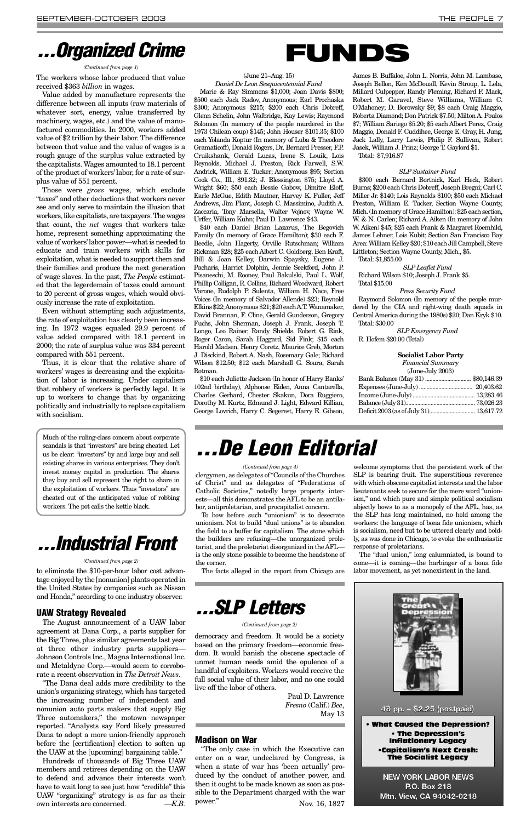(June 21–Aug. 15) *Daniel De Leon Sesquicentennial Fund*

Marie & Ray Simmons \$1,000; Joan Davis \$800; \$500 each Jack Radov, Anonymous; Earl Prochaska \$300; Anonymous \$215; \$200 each Chris Dobreff, Glenn Schelin, John Walbridge, Kay Lewis; Raymond Solomon (In memory of the people murdered in the 1973 Chilean coup) \$145; John Houser \$101.35; \$100 each Yolanda Koptur (In memory of Luba & Theodore Gramaticoff), Donald Rogers, Dr. Bernard Presser, F.P. Cruikshank, Gerald Lucas, Irene S. Louik, Lois Reynolds, Michael J. Preston, Rick Farwell, S.W. Andrick, William E. Tucker; Anonymous \$95; Section Cook Co., Ill., \$91.32; J. Blessington \$75; Lloyd A. Wright \$60; \$50 each Bessie Gabow, Dimitre Eloff, Earle McGue, Edith Mautner, Harvey K. Fuller, Jeff Andrews, Jim Plant, Joseph C. Massimino, Judith A. Zaccaria, Tony Marsella, Walter Vojnov, Wayne W. Urffer, William Kuhn; Paul D. Lawrence \$43.

\$40 each Daniel Brian Lazarus, The Begovich Family (In memory of Grace Hamilton); \$30 each F. Beedle, John Hagerty, Orville Rutschman; William Rickman \$28; \$25 each Albert C. Goldberg, Ben Kraft, Bill & Joan Kelley, Darwin Spaysky, Eugene J. Pacharis, Harriet Dolphin, Jennie Seekford, John P. Pisaneschi, M. Rooney, Paul Bakulski, Paul L. Wolf, Phillip Colligan, R. Collins, Richard Woodward, Robert Varone, Rudolph P. Sulenta, William H. Nace, Free Voices (In memory of Salvador Allende) \$23; Reynold Elkins \$22; Anonymous \$21; \$20 each A.T. Wanamaker, David Brannan, F. Cline, Gerald Gunderson, Gregory Fuchs, John Sherman, Joseph J. Frank, Joseph T. Longo, Leo Rainer, Randy Shields, Robert G. Rink, Roger Caron, Sarah Haggard, Sid Fink; \$15 each Harold Madsen, Henry Coretz, Maurice Greb, Morton J. Disckind, Robert A. Nash, Rosemary Gale; Richard Wilson \$12.50; \$12 each Marshall G. Soura, Sarah Rotman.

\$10 each Juliette Jackson (In honor of Harry Banks' 102nd birthday), Alphonse Eiden, Anna Cantarella, Charles Gerhard, Chester Skakun, Dora Ruggiero, Dorothy M. Kurtz, Edmund J. Light, Edward Killian, George Lovrich, Harry C. Segerest, Harry E. Gibson,

James B. Buffaloe, John L. Norris, John M. Lambase, Joseph Bellon, Ken McDouall, Kevin Stroup, L. Lela, Millard Culpepper, Randy Fleming, Richard F. Mack, Robert M. Garavel, Steve Williams, William C. O'Mahoney; D. Borowsky \$9; \$8 each Craig Maggio, Roberta Diamond; Don Patrick \$7.50; Milton A. Poulos \$7; William Sariego \$5.20; \$5 each Albert Perez, Craig Maggio, Donald F. Cuddihee, George E. Gray, H. Jung, Jack Lally, Larry Lewis, Philip F. Sullivan, Robert Jasek, William J. Prinz; George T. Gaylord \$1. Total: \$7,916.87

#### *SLP Sustainer Fund*

\$300 each Bernard Bortnick, Karl Heck, Robert Burns; \$200 each Chris Dobreff, Joseph Bregni; Carl C. Miller Jr. \$140; Lois Reynolds \$100; \$50 each Michael Preston, William E. Tucker, Section Wayne County, Mich. (In memory of Grace Hamilton): \$25 each section, W. & N. Carlen; Richard A. Aiken (In memory of John W. Aiken) \$45; \$25 each Frank & Margaret Roemhild, James Lehner, Lois Kubit; Section San Francisco Bay Area: William Kelley \$20; \$10 each Jill Campbell, Steve Littleton; Section Wayne County, Mich., \$5. Total: \$1,855.00

*SLP Leaflet Fund* Richard Wilson \$10; Joseph J. Frank \$5. Total \$15.00

#### *Press Security Fund*

Raymond Solomon (In memory of the people murdered by the CIA and right-wing death squads in Central America during the 1980s) \$20; Dan Kryk \$10. Total: \$30.00

*SLP Emergency Fund* R. Hofem \$20.00 (Total)

#### **Socialist Labor Party**

| <b>Financial Summary</b>           |  |
|------------------------------------|--|
| (June-July 2003)                   |  |
| Bank Balance (May 31)  \$80,146.39 |  |
|                                    |  |
|                                    |  |
|                                    |  |
|                                    |  |
|                                    |  |

clergymen, as delegates of "Councils of the Churches of Christ" and as delegates of "Federations of Catholic Societies," notedly large property interests—all this demonstrates the AFL to be an antilabor, antiproletarian, and procapitalist concern.

To bow before such "unionism" is to desecrate unionism. Not to build "dual unions" is to abandon the field to a buffer for capitalism. The stone which the builders are refusing—the unorganized proletariat, and the proletariat disorganized in the AFL is the only stone possible to become the headstone of the corner.

The facts alleged in the report from Chicago are

welcome symptoms that the persistent work of the SLP is bearing fruit. The superstitious reverence with which obscene capitalist interests and the labor lieutenants seek to secure for the mere word "unionism," and which pure and simple political socialism abjectly bows to as a monopoly of the AFL, has, as the SLP has long maintained, no hold among the workers: the language of bona fide unionism, which is socialism, need but to be uttered clearly and boldly, as was done in Chicago, to evoke the enthusiastic response of proletarians.

The "dual union," long calumniated, is bound to come—it is coming—the harbinger of a bona fide labor movement, as yet nonexistent in the land.



# *...De Leon Editorial*

### *...Organized Crime*

#### *(Continued from page 1)*

The workers whose labor produced that value received \$363 *billion* in wages.

Value added by manufacture represents the difference between all inputs (raw materials of whatever sort, energy, value transferred by machinery, wages, etc.) and the value of manufactured commodities. In 2000, workers added value of \$2 trillion by their labor. The difference between that value and the value of wages is a rough gauge of the surplus value extracted by the capitalists. Wages amounted to 18.1 percent of the product of workers'labor, for a rate of surplus value of 551 percent.

Those were *gross* wages, which exclude "taxes" and other deductions that workers never see and only serve to maintain the illusion that workers, like capitalists, are taxpayers. The wages that count, the *net* wages that workers take home, represent something approximating the value of workers'labor power—what is needed to educate and train workers with skills for exploitation, what is needed to support them and their families and produce the next generation of wage slaves. In the past, *The People* estimated that the legerdemain of taxes could amount to 20 percent of gross wages, which would obviously increase the rate of exploitation.

Even without attempting such adjustments, the rate of exploitation has clearly been increasing. In 1972 wages equaled 29.9 percent of value added compared with 18.1 percent in 2000; the rate of surplus value was 334 percent compared with 551 percent.

Thus, it is clear that the relative share of workers' wages is decreasing and the exploitation of labor is increasing. Under capitalism that robbery of workers is perfectly legal. It is up to workers to change that by organizing politically and industrially to replace capitalism with socialism.

#### *(Continued from page 4)*

# **FUNDS**

democracy and freedom. It would be a society based on the primary freedom—economic freedom. It would banish the obscene spectacle of unmet human needs amid the opulence of a handful of exploiters. Workers would receive the full social value of their labor, and no one could live off the labor of others.

Paul D. Lawrence *Fresno* (Calif.) *Bee*, May 13

to eliminate the \$10-per-hour labor cost advantage enjoyed by the [nonunion] plants operated in the United States by companies such as Nissan and Honda," according to one industry observer.

### **UAW Strategy Revealed**

The August announcement of a UAW labor agreement at Dana Corp., a parts supplier for the Big Three, plus similar agreements last year at three other industry parts suppliers— Johnson Controls Inc., Magna International Inc. and Metaldyne Corp.—would seem to corroborate a recent observation in *The Detroit News*.

"The Dana deal adds more credibility to the union's organizing strategy, which has targeted the increasing number of independent and nonunion auto parts makers that supply Big Three automakers," the motown newspaper reported. "Analysts say Ford likely pressured Dana to adopt a more union-friendly approach before the [certification] election to soften up the UAW at the [upcoming] bargaining table."

Hundreds of thousands of Big Three UAW members and retirees depending on the UAW to defend and advance their interests won't have to wait long to see just how "credible" this UAW "organizing" strategy is as far as their own interests are concerned. *—K.B.*

### *SLP Letter*

*...Industrial Front*

#### *(Continued from page 2)*

#### *(Continued from page 2)*

Much of the ruling-class concern about corporate scandals is that "investors" are being cheated. Let us be clear: "investors" by and large buy and sell existing shares in various enterprises. They don't invest money capital in production. The shares they buy and sell represent the right to share in the exploitation of workers. Thus "investors" are cheated out of the anticipated value of robbing workers. The pot calls the kettle black.

> • What Caused the Depression? • The Depression's Inflationary Legacy •Capitalism's Next Crash: The Socialist Legacy

### **48 pp. – \$2.25 (postpaid)**

**NEW YORK LABOR NEWS P.O. Box 218 Mtn. View, CA 94042-0218**

### **Madison on War**

"The only case in which the Executive can enter on a war, undeclared by Congress, is when a state of war has 'been actually' produced by the conduct of another power, and then it ought to be made known as soon as possible to the Department charged with the war power." Nov. 16, 1827